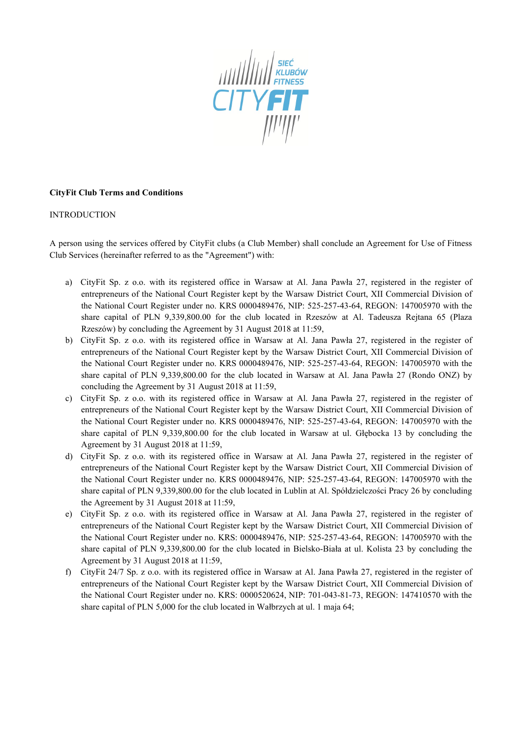

### **CityFit Club Terms and Conditions**

#### INTRODUCTION

A person using the services offered by CityFit clubs (a Club Member) shall conclude an Agreement for Use of Fitness Club Services (hereinafter referred to as the "Agreement") with:

- a) CityFit Sp. z o.o. with its registered office in Warsaw at Al. Jana Pawła 27, registered in the register of entrepreneurs of the National Court Register kept by the Warsaw District Court, XII Commercial Division of the National Court Register under no. KRS 0000489476, NIP: 525-257-43-64, REGON: 147005970 with the share capital of PLN 9,339,800.00 for the club located in Rzeszów at Al. Tadeusza Rejtana 65 (Plaza Rzeszów) by concluding the Agreement by 31 August 2018 at 11:59,
- b) CityFit Sp. z o.o. with its registered office in Warsaw at Al. Jana Pawła 27, registered in the register of entrepreneurs of the National Court Register kept by the Warsaw District Court, XII Commercial Division of the National Court Register under no. KRS 0000489476, NIP: 525-257-43-64, REGON: 147005970 with the share capital of PLN 9,339,800.00 for the club located in Warsaw at Al. Jana Pawła 27 (Rondo ONZ) by concluding the Agreement by 31 August 2018 at 11:59,
- c) CityFit Sp. z o.o. with its registered office in Warsaw at Al. Jana Pawła 27, registered in the register of entrepreneurs of the National Court Register kept by the Warsaw District Court, XII Commercial Division of the National Court Register under no. KRS 0000489476, NIP: 525-257-43-64, REGON: 147005970 with the share capital of PLN 9,339,800.00 for the club located in Warsaw at ul. Głębocka 13 by concluding the Agreement by 31 August 2018 at 11:59,
- d) CityFit Sp. z o.o. with its registered office in Warsaw at Al. Jana Pawła 27, registered in the register of entrepreneurs of the National Court Register kept by the Warsaw District Court, XII Commercial Division of the National Court Register under no. KRS 0000489476, NIP: 525-257-43-64, REGON: 147005970 with the share capital of PLN 9,339,800.00 for the club located in Lublin at Al. Spółdzielczości Pracy 26 by concluding the Agreement by 31 August 2018 at 11:59,
- e) CityFit Sp. z o.o. with its registered office in Warsaw at Al. Jana Pawła 27, registered in the register of entrepreneurs of the National Court Register kept by the Warsaw District Court, XII Commercial Division of the National Court Register under no. KRS: 0000489476, NIP: 525-257-43-64, REGON: 147005970 with the share capital of PLN 9,339,800.00 for the club located in Bielsko-Biała at ul. Kolista 23 by concluding the Agreement by 31 August 2018 at 11:59,
- f) CityFit 24/7 Sp. z o.o. with its registered office in Warsaw at Al. Jana Pawła 27, registered in the register of entrepreneurs of the National Court Register kept by the Warsaw District Court, XII Commercial Division of the National Court Register under no. KRS: 0000520624, NIP: 701-043-81-73, REGON: 147410570 with the share capital of PLN 5,000 for the club located in Wałbrzych at ul. 1 maja 64;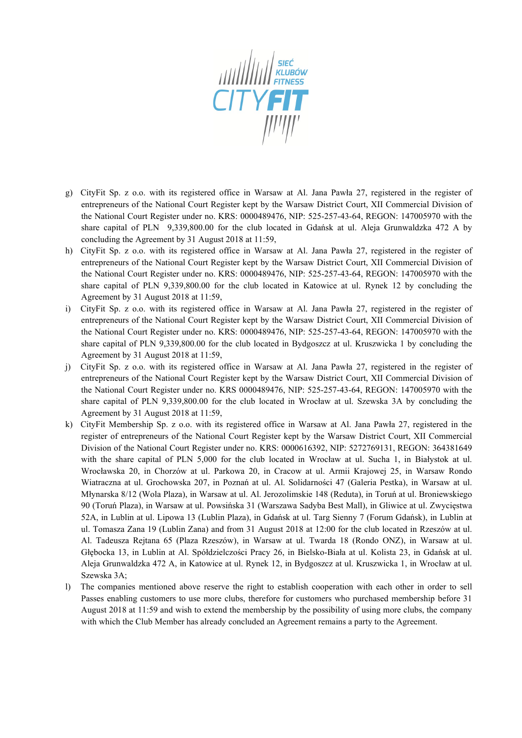

- g) CityFit Sp. z o.o. with its registered office in Warsaw at Al. Jana Pawła 27, registered in the register of entrepreneurs of the National Court Register kept by the Warsaw District Court, XII Commercial Division of the National Court Register under no. KRS: 0000489476, NIP: 525-257-43-64, REGON: 147005970 with the share capital of PLN 9,339,800.00 for the club located in Gdańsk at ul. Aleja Grunwaldzka 472 A by concluding the Agreement by 31 August 2018 at 11:59,
- h) CityFit Sp. z o.o. with its registered office in Warsaw at Al. Jana Pawła 27, registered in the register of entrepreneurs of the National Court Register kept by the Warsaw District Court, XII Commercial Division of the National Court Register under no. KRS: 0000489476, NIP: 525-257-43-64, REGON: 147005970 with the share capital of PLN 9,339,800.00 for the club located in Katowice at ul. Rynek 12 by concluding the Agreement by 31 August 2018 at 11:59,
- i) CityFit Sp. z o.o. with its registered office in Warsaw at Al. Jana Pawła 27, registered in the register of entrepreneurs of the National Court Register kept by the Warsaw District Court, XII Commercial Division of the National Court Register under no. KRS: 0000489476, NIP: 525-257-43-64, REGON: 147005970 with the share capital of PLN 9,339,800.00 for the club located in Bydgoszcz at ul. Kruszwicka 1 by concluding the Agreement by 31 August 2018 at 11:59,
- j) CityFit Sp. z o.o. with its registered office in Warsaw at Al. Jana Pawła 27, registered in the register of entrepreneurs of the National Court Register kept by the Warsaw District Court, XII Commercial Division of the National Court Register under no. KRS 0000489476, NIP: 525-257-43-64, REGON: 147005970 with the share capital of PLN 9,339,800.00 for the club located in Wrocław at ul. Szewska 3A by concluding the Agreement by 31 August 2018 at 11:59,
- k) CityFit Membership Sp. z o.o. with its registered office in Warsaw at Al. Jana Pawła 27, registered in the register of entrepreneurs of the National Court Register kept by the Warsaw District Court, XII Commercial Division of the National Court Register under no. KRS: 0000616392, NIP: 5272769131, REGON: 364381649 with the share capital of PLN 5,000 for the club located in Wrocław at ul. Sucha 1, in Białystok at ul. Wrocławska 20, in Chorzów at ul. Parkowa 20, in Cracow at ul. Armii Krajowej 25, in Warsaw Rondo Wiatraczna at ul. Grochowska 207, in Poznań at ul. Al. Solidarności 47 (Galeria Pestka), in Warsaw at ul. Młynarska 8/12 (Wola Plaza), in Warsaw at ul. Al. Jerozolimskie 148 (Reduta), in Toruń at ul. Broniewskiego 90 (Toruń Plaza), in Warsaw at ul. Powsińska 31 (Warszawa Sadyba Best Mall), in Gliwice at ul. Zwycięstwa 52A, in Lublin at ul. Lipowa 13 (Lublin Plaza), in Gdańsk at ul. Targ Sienny 7 (Forum Gdańsk), in Lublin at ul. Tomasza Zana 19 (Lublin Zana) and from 31 August 2018 at 12:00 for the club located in Rzeszów at ul. Al. Tadeusza Rejtana 65 (Plaza Rzeszów), in Warsaw at ul. Twarda 18 (Rondo ONZ), in Warsaw at ul. Głębocka 13, in Lublin at Al. Spółdzielczości Pracy 26, in Bielsko-Biała at ul. Kolista 23, in Gdańsk at ul. Aleja Grunwaldzka 472 A, in Katowice at ul. Rynek 12, in Bydgoszcz at ul. Kruszwicka 1, in Wrocław at ul. Szewska 3A;
- l) The companies mentioned above reserve the right to establish cooperation with each other in order to sell Passes enabling customers to use more clubs, therefore for customers who purchased membership before 31 August 2018 at 11:59 and wish to extend the membership by the possibility of using more clubs, the company with which the Club Member has already concluded an Agreement remains a party to the Agreement.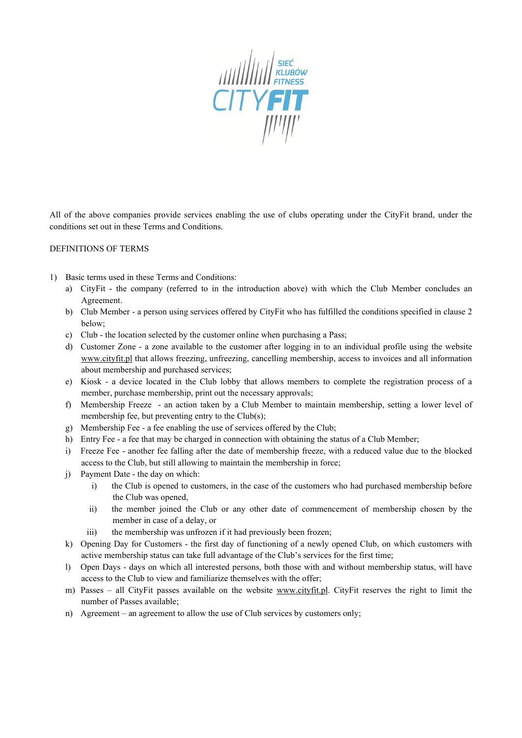

All of the above companies provide services enabling the use of clubs operating under the CityFit brand, under the conditions set out in these Terms and Conditions.

#### DEFINITIONS OF TERMS

- 1) Basic terms used in these Terms and Conditions:
	- a) CityFit the company (referred to in the introduction above) with which the Club Member concludes an Agreement.
	- b) Club Member a person using services offered by CityFit who has fulfilled the conditions specified in clause 2 below;
	- c) Club the location selected by the customer online when purchasing a Pass;
	- d) Customer Zone a zone available to the customer after logging in to an individual profile using the website [www.cityfit.pl](http://www.cityfit.pl/) that allows freezing, unfreezing, cancelling membership, access to invoices and all information about membership and purchased services;
	- e) Kiosk a device located in the Club lobby that allows members to complete the registration process of a member, purchase membership, print out the necessary approvals;
	- f) Membership Freeze an action taken by a Club Member to maintain membership, setting a lower level of membership fee, but preventing entry to the Club(s);
	- g) Membership Fee a fee enabling the use of services offered by the Club;
	- h) Entry Fee a fee that may be charged in connection with obtaining the status of a Club Member;
	- i) Freeze Fee another fee falling after the date of membership freeze, with a reduced value due to the blocked access to the Club, but still allowing to maintain the membership in force;
	- j) Payment Date the day on which:
		- i) the Club is opened to customers, in the case of the customers who had purchased membership before the Club was opened,
		- ii) the member joined the Club or any other date of commencement of membership chosen by the member in case of a delay, or
		- iii) the membership was unfrozen if it had previously been frozen;
	- k) Opening Day for Customers the first day of functioning of a newly opened Club, on which customers with active membership status can take full advantage of the Club's services for the first time;
	- l) Open Days days on which all interested persons, both those with and without membership status, will have access to the Club to view and familiarize themselves with the offer;
	- m) Passes all CityFit passes available on the website [www.cityfit.pl.](http://www.cityfit.pl/) CityFit reserves the right to limit the number of Passes available;
	- n) Agreement an agreement to allow the use of Club services by customers only;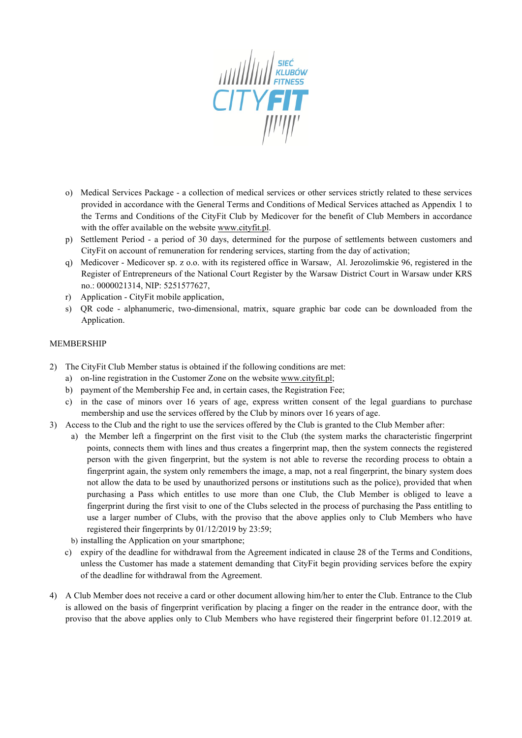

- o) Medical Services Package a collection of medical services or other services strictly related to these services provided in accordance with the General Terms and Conditions of Medical Services attached as Appendix 1 to the Terms and Conditions of the CityFit Club by Medicover for the benefit of Club Members in accordance with the offer available on the website [www.cityfit.pl.](http://www.cityfit.pl/)
- p) Settlement Period a period of 30 days, determined for the purpose of settlements between customers and CityFit on account of remuneration for rendering services, starting from the day of activation;
- q) Medicover Medicover sp. z o.o. with its registered office in Warsaw, Al. Jerozolimskie 96, registered in the Register of Entrepreneurs of the National Court Register by the Warsaw District Court in Warsaw under KRS no.: 0000021314, NIP: 5251577627,
- r) Application CityFit mobile application,
- s) QR code alphanumeric, two-dimensional, matrix, square graphic bar code can be downloaded from the Application.

#### MEMBERSHIP

- 2) The CityFit Club Member status is obtained if the following conditions are met:
	- a) on-line registration in the Customer Zone on the websit[e www.cityfit.pl](http://www.cityfit.pl/);
	- b) payment of the Membership Fee and, in certain cases, the Registration Fee;
	- c) in the case of minors over 16 years of age, express written consent of the legal guardians to purchase membership and use the services offered by the Club by minors over 16 years of age.
- 3) Access to the Club and the right to use the services offered by the Club is granted to the Club Member after:
	- a) the Member left a fingerprint on the first visit to the Club (the system marks the characteristic fingerprint points, connects them with lines and thus creates a fingerprint map, then the system connects the registered person with the given fingerprint, but the system is not able to reverse the recording process to obtain a fingerprint again, the system only remembers the image, a map, not a real fingerprint, the binary system does not allow the data to be used by unauthorized persons or institutions such as the police), provided that when purchasing a Pass which entitles to use more than one Club, the Club Member is obliged to leave a fingerprint during the first visit to one of the Clubs selected in the process of purchasing the Pass entitling to use a larger number of Clubs, with the proviso that the above applies only to Club Members who have registered their fingerprints by 01/12/2019 by 23:59;
	- b) installing the Application on your smartphone;
	- c) expiry of the deadline for withdrawal from the Agreement indicated in clause 28 of the Terms and Conditions, unless the Customer has made a statement demanding that CityFit begin providing services before the expiry of the deadline for withdrawal from the Agreement.
- 4) A Club Member does not receive a card or other document allowing him/her to enter the Club. Entrance to the Club is allowed on the basis of fingerprint verification by placing a finger on the reader in the entrance door, with the proviso that the above applies only to Club Members who have registered their fingerprint before 01.12.2019 at.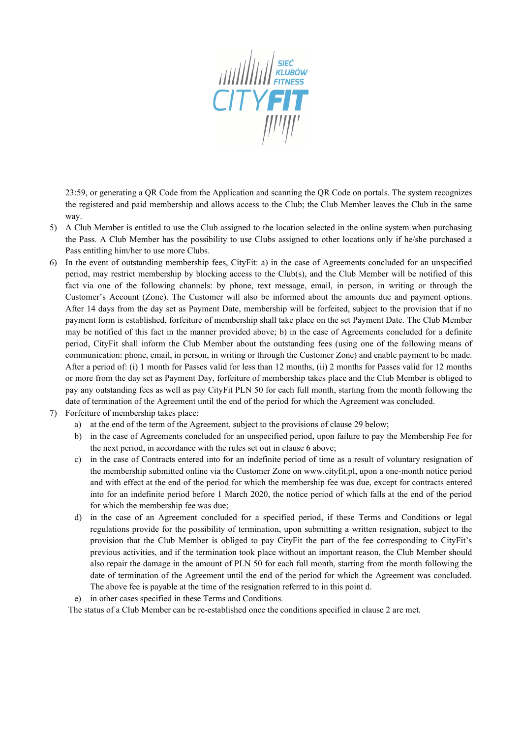

23:59, or generating a QR Code from the Application and scanning the QR Code on portals. The system recognizes the registered and paid membership and allows access to the Club; the Club Member leaves the Club in the same way.

- 5) A Club Member is entitled to use the Club assigned to the location selected in the online system when purchasing the Pass. A Club Member has the possibility to use Clubs assigned to other locations only if he/she purchased a Pass entitling him/her to use more Clubs.
- 6) In the event of outstanding membership fees, CityFit: a) in the case of Agreements concluded for an unspecified period, may restrict membership by blocking access to the Club(s), and the Club Member will be notified of this fact via one of the following channels: by phone, text message, email, in person, in writing or through the Customer's Account (Zone). The Customer will also be informed about the amounts due and payment options. After 14 days from the day set as Payment Date, membership will be forfeited, subject to the provision that if no payment form is established, forfeiture of membership shall take place on the set Payment Date. The Club Member may be notified of this fact in the manner provided above; b) in the case of Agreements concluded for a definite period, CityFit shall inform the Club Member about the outstanding fees (using one of the following means of communication: phone, email, in person, in writing or through the Customer Zone) and enable payment to be made. After a period of: (i) 1 month for Passes valid for less than 12 months, (ii) 2 months for Passes valid for 12 months or more from the day set as Payment Day, forfeiture of membership takes place and the Club Member is obliged to pay any outstanding fees as well as pay CityFit PLN 50 for each full month, starting from the month following the date of termination of the Agreement until the end of the period for which the Agreement was concluded.
- 7) Forfeiture of membership takes place:
	- a) at the end of the term of the Agreement, subject to the provisions of clause 29 below;
	- b) in the case of Agreements concluded for an unspecified period, upon failure to pay the Membership Fee for the next period, in accordance with the rules set out in clause 6 above;
	- c) in the case of Contracts entered into for an indefinite period of time as a result of voluntary resignation of the membership submitted online via the Customer Zone on www.cityfit.pl, upon a one-month notice period and with effect at the end of the period for which the membership fee was due, except for contracts entered into for an indefinite period before 1 March 2020, the notice period of which falls at the end of the period for which the membership fee was due;
	- d) in the case of an Agreement concluded for a specified period, if these Terms and Conditions or legal regulations provide for the possibility of termination, upon submitting a written resignation, subject to the provision that the Club Member is obliged to pay CityFit the part of the fee corresponding to CityFit's previous activities, and if the termination took place without an important reason, the Club Member should also repair the damage in the amount of PLN 50 for each full month, starting from the month following the date of termination of the Agreement until the end of the period for which the Agreement was concluded. The above fee is payable at the time of the resignation referred to in this point d.
	- e) in other cases specified in these Terms and Conditions.

The status of a Club Member can be re-established once the conditions specified in clause 2 are met.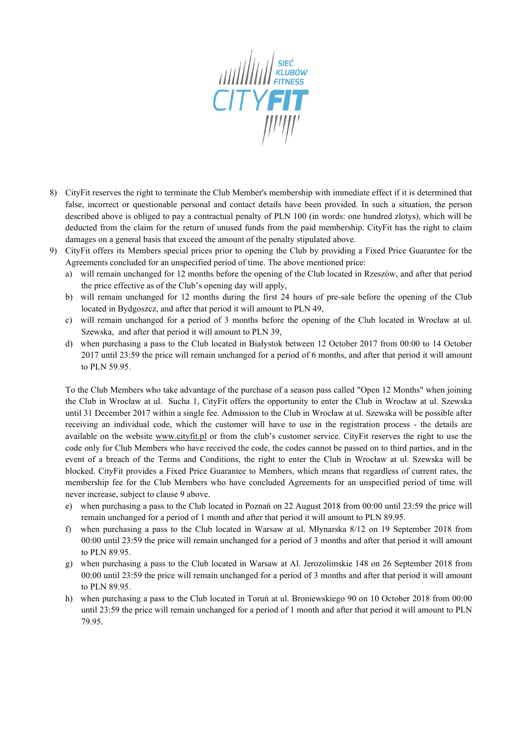

- 8) CityFit reserves the right to terminate the Club Member's membership with immediate effect if it is determined that false, incorrect or questionable personal and contact details have been provided. In such a situation, the person described above is obliged to pay a contractual penalty of PLN 100 (in words: one hundred zlotys), which will be deducted from the claim for the return of unused funds from the paid membership. CityFit has the right to claim damages on a general basis that exceed the amount of the penalty stipulated above.
- 9) CityFit offers its Members special prices prior to opening the Club by providing a Fixed Price Guarantee for the Agreements concluded for an unspecified period of time. The above mentioned price:
	- a) will remain unchanged for 12 months before the opening of the Club located in Rzeszów, and after that period the price effective as of the Club's opening day will apply,
	- b) will remain unchanged for 12 months during the first 24 hours of pre-sale before the opening of the Club located in Bydgoszcz, and after that period it will amount to PLN 49,
	- c) will remain unchanged for a period of 3 months before the opening of the Club located in Wrocław at ul. Szewska, and after that period it will amount to PLN 39,
	- d) when purchasing a pass to the Club located in Białystok between 12 October 2017 from 00:00 to 14 October 2017 until 23:59 the price will remain unchanged for a period of 6 months, and after that period it will amount to PLN 59.95.

To the Club Members who take advantage of the purchase of a season pass called "Open 12 Months" when joining the Club in Wrocław at ul. Sucha 1, CityFit offers the opportunity to enter the Club in Wrocław at ul. Szewska until 31 December 2017 within a single fee. Admission to the Club in Wrocław at ul. Szewska will be possible after receiving an individual code, which the customer will have to use in the registration process - the details are available on the website [www.cityfit.pl](http://www.cityfit.pl/) or from the club's customer service. CityFit reserves the right to use the code only for Club Members who have received the code, the codes cannot be passed on to third parties, and in the event of a breach of the Terms and Conditions, the right to enter the Club in Wrocław at ul. Szewska will be blocked. CityFit provides a Fixed Price Guarantee to Members, which means that regardless of current rates, the membership fee for the Club Members who have concluded Agreements for an unspecified period of time will never increase, subject to clause 9 above.

- e) when purchasing a pass to the Club located in Poznań on 22 August 2018 from 00:00 until 23:59 the price will remain unchanged for a period of 1 month and after that period it will amount to PLN 89.95.
- f) when purchasing a pass to the Club located in Warsaw at ul. Młynarska 8/12 on 19 September 2018 from 00:00 until 23:59 the price will remain unchanged for a period of 3 months and after that period it will amount to PLN 89.95.
- g) when purchasing a pass to the Club located in Warsaw at Al. Jerozolimskie 148 on 26 September 2018 from 00:00 until 23:59 the price will remain unchanged for a period of 3 months and after that period it will amount to PLN 89.95.
- h) when purchasing a pass to the Club located in Toruń at ul. Broniewskiego 90 on 10 October 2018 from 00:00 until 23:59 the price will remain unchanged for a period of 1 month and after that period it will amount to PLN 79.95.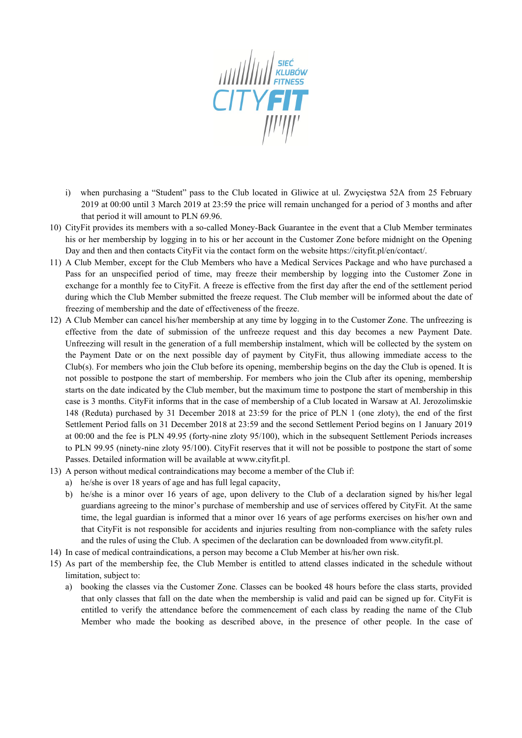

- i) when purchasing a "Student" pass to the Club located in Gliwice at ul. Zwycięstwa 52A from 25 February 2019 at 00:00 until 3 March 2019 at 23:59 the price will remain unchanged for a period of 3 months and after that period it will amount to PLN 69.96.
- 10) CityFit provides its members with a so-called Money-Back Guarantee in the event that a Club Member terminates his or her membership by logging in to his or her account in the Customer Zone before midnight on the Opening Day and then and then contacts CityFit via the contact form on the website https://cityfit.pl/en/contact/.
- 11) A Club Member, except for the Club Members who have a Medical Services Package and who have purchased a Pass for an unspecified period of time, may freeze their membership by logging into the Customer Zone in exchange for a monthly fee to CityFit. A freeze is effective from the first day after the end of the settlement period during which the Club Member submitted the freeze request. The Club member will be informed about the date of freezing of membership and the date of effectiveness of the freeze.
- 12) A Club Member can cancel his/her membership at any time by logging in to the Customer Zone. The unfreezing is effective from the date of submission of the unfreeze request and this day becomes a new Payment Date. Unfreezing will result in the generation of a full membership instalment, which will be collected by the system on the Payment Date or on the next possible day of payment by CityFit, thus allowing immediate access to the Club(s). For members who join the Club before its opening, membership begins on the day the Club is opened. It is not possible to postpone the start of membership. For members who join the Club after its opening, membership starts on the date indicated by the Club member, but the maximum time to postpone the start of membership in this case is 3 months. CityFit informs that in the case of membership of a Club located in Warsaw at Al. Jerozolimskie 148 (Reduta) purchased by 31 December 2018 at 23:59 for the price of PLN 1 (one zloty), the end of the first Settlement Period falls on 31 December 2018 at 23:59 and the second Settlement Period begins on 1 January 2019 at 00:00 and the fee is PLN 49.95 (forty-nine zloty 95/100), which in the subsequent Settlement Periods increases to PLN 99.95 (ninety-nine zloty 95/100). CityFit reserves that it will not be possible to postpone the start of some Passes. Detailed information will be available at www.cityfit.pl.
- 13) A person without medical contraindications may become a member of the Club if:
	- a) he/she is over 18 years of age and has full legal capacity,
	- b) he/she is a minor over 16 years of age, upon delivery to the Club of a declaration signed by his/her legal guardians agreeing to the minor's purchase of membership and use of services offered by CityFit. At the same time, the legal guardian is informed that a minor over 16 years of age performs exercises on his/her own and that CityFit is not responsible for accidents and injuries resulting from non-compliance with the safety rules and the rules of using the Club. A specimen of the declaration can be downloaded from www.cityfit.pl.
- 14) In case of medical contraindications, a person may become a Club Member at his/her own risk.
- 15) As part of the membership fee, the Club Member is entitled to attend classes indicated in the schedule without limitation, subject to:
	- a) booking the classes via the Customer Zone. Classes can be booked 48 hours before the class starts, provided that only classes that fall on the date when the membership is valid and paid can be signed up for. CityFit is entitled to verify the attendance before the commencement of each class by reading the name of the Club Member who made the booking as described above, in the presence of other people. In the case of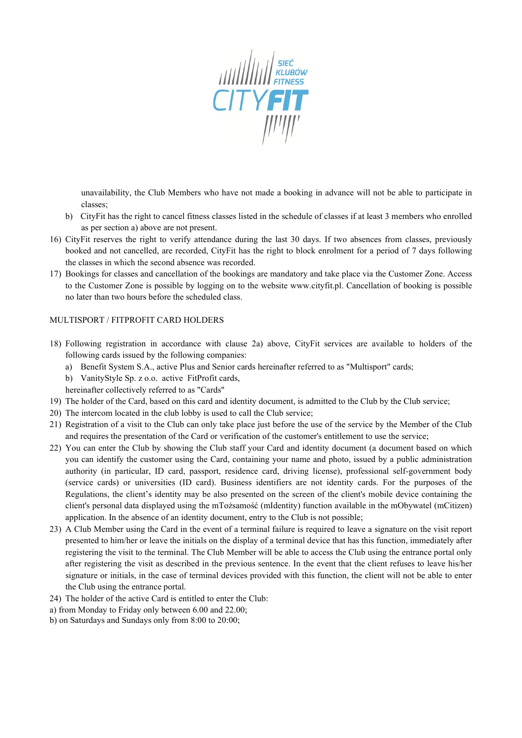

unavailability, the Club Members who have not made a booking in advance will not be able to participate in classes;

- b) CityFit has the right to cancel fitness classes listed in the schedule of classes if at least 3 members who enrolled as per section a) above are not present.
- 16) CityFit reserves the right to verify attendance during the last 30 days. If two absences from classes, previously booked and not cancelled, are recorded, CityFit has the right to block enrolment for a period of 7 days following the classes in which the second absence was recorded.
- 17) Bookings for classes and cancellation of the bookings are mandatory and take place via the Customer Zone. Access to the Customer Zone is possible by logging on to the website www.cityfit.pl. Cancellation of booking is possible no later than two hours before the scheduled class.

### MULTISPORT / FITPROFIT CARD HOLDERS

- 18) Following registration in accordance with clause 2a) above, CityFit services are available to holders of the following cards issued by the following companies:
	- a) Benefit System S.A., active Plus and Senior cards hereinafter referred to as "Multisport" cards;
	- b) VanityStyle Sp. z o.o. active FitProfit cards,
	- hereinafter collectively referred to as "Cards"
- 19) The holder of the Card, based on this card and identity document, is admitted to the Club by the Club service;
- 20) The intercom located in the club lobby is used to call the Club service;
- 21) Registration of a visit to the Club can only take place just before the use of the service by the Member of the Club and requires the presentation of the Card or verification of the customer's entitlement to use the service;
- 22) You can enter the Club by showing the Club staff your Card and identity document (a document based on which you can identify the customer using the Card, containing your name and photo, issued by a public administration authority (in particular, ID card, passport, residence card, driving license), professional self-government body (service cards) or universities (ID card). Business identifiers are not identity cards. For the purposes of the Regulations, the client's identity may be also presented on the screen of the client's mobile device containing the client's personal data displayed using the mTożsamość (mIdentity) function available in the mObywatel (mCitizen) application. In the absence of an identity document, entry to the Club is not possible;
- 23) A Club Member using the Card in the event of a terminal failure is required to leave a signature on the visit report presented to him/her or leave the initials on the display of a terminal device that has this function, immediately after registering the visit to the terminal. The Club Member will be able to access the Club using the entrance portal only after registering the visit as described in the previous sentence. In the event that the client refuses to leave his/her signature or initials, in the case of terminal devices provided with this function, the client will not be able to enter the Club using the entrance portal.
- 24) The holder of the active Card is entitled to enter the Club:
- a) from Monday to Friday only between 6.00 and 22.00;
- b) on Saturdays and Sundays only from 8:00 to 20:00;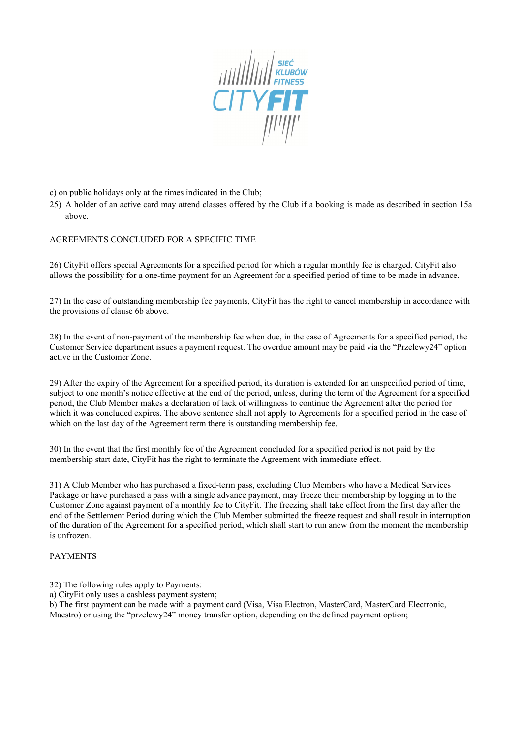

c) on public holidays only at the times indicated in the Club;

25) A holder of an active card may attend classes offered by the Club if a booking is made as described in section 15a above.

AGREEMENTS CONCLUDED FOR A SPECIFIC TIME

26) CityFit offers special Agreements for a specified period for which a regular monthly fee is charged. CityFit also allows the possibility for a one-time payment for an Agreement for a specified period of time to be made in advance.

27) In the case of outstanding membership fee payments, CityFit has the right to cancel membership in accordance with the provisions of clause 6b above.

28) In the event of non-payment of the membership fee when due, in the case of Agreements for a specified period, the Customer Service department issues a payment request. The overdue amount may be paid via the "Przelewy24" option active in the Customer Zone.

29) After the expiry of the Agreement for a specified period, its duration is extended for an unspecified period of time, subject to one month's notice effective at the end of the period, unless, during the term of the Agreement for a specified period, the Club Member makes a declaration of lack of willingness to continue the Agreement after the period for which it was concluded expires. The above sentence shall not apply to Agreements for a specified period in the case of which on the last day of the Agreement term there is outstanding membership fee.

30) In the event that the first monthly fee of the Agreement concluded for a specified period is not paid by the membership start date, CityFit has the right to terminate the Agreement with immediate effect.

31) A Club Member who has purchased a fixed-term pass, excluding Club Members who have a Medical Services Package or have purchased a pass with a single advance payment, may freeze their membership by logging in to the Customer Zone against payment of a monthly fee to CityFit. The freezing shall take effect from the first day after the end of the Settlement Period during which the Club Member submitted the freeze request and shall result in interruption of the duration of the Agreement for a specified period, which shall start to run anew from the moment the membership is unfrozen.

#### PAYMENTS

32) The following rules apply to Payments:

a) CityFit only uses a cashless payment system;

b) The first payment can be made with a payment card (Visa, Visa Electron, MasterCard, MasterCard Electronic, Maestro) or using the "przelewy24" money transfer option, depending on the defined payment option;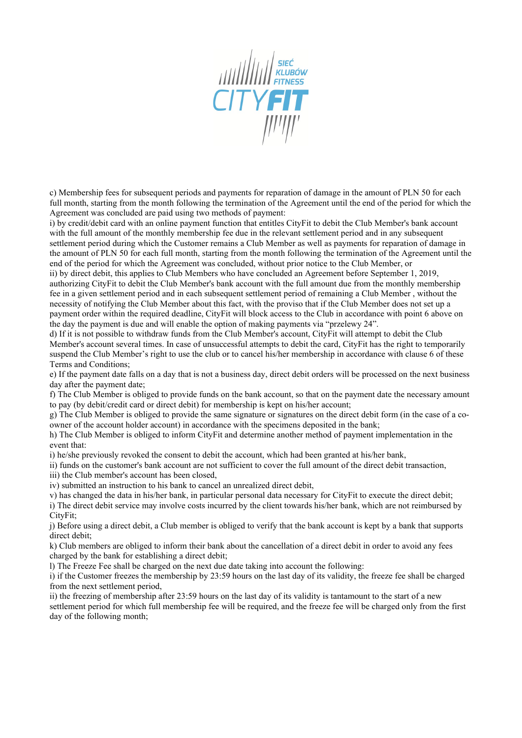

c) Membership fees for subsequent periods and payments for reparation of damage in the amount of PLN 50 for each full month, starting from the month following the termination of the Agreement until the end of the period for which the Agreement was concluded are paid using two methods of payment:

i) by credit/debit card with an online payment function that entitles CityFit to debit the Club Member's bank account with the full amount of the monthly membership fee due in the relevant settlement period and in any subsequent settlement period during which the Customer remains a Club Member as well as payments for reparation of damage in the amount of PLN 50 for each full month, starting from the month following the termination of the Agreement until the end of the period for which the Agreement was concluded, without prior notice to the Club Member, or

ii) by direct debit, this applies to Club Members who have concluded an Agreement before September 1, 2019, authorizing CityFit to debit the Club Member's bank account with the full amount due from the monthly membership fee in a given settlement period and in each subsequent settlement period of remaining a Club Member , without the necessity of notifying the Club Member about this fact, with the proviso that if the Club Member does not set up a payment order within the required deadline, CityFit will block access to the Club in accordance with point 6 above on the day the payment is due and will enable the option of making payments via "przelewy 24".

d) If it is not possible to withdraw funds from the Club Member's account, CityFit will attempt to debit the Club Member's account several times. In case of unsuccessful attempts to debit the card, CityFit has the right to temporarily suspend the Club Member's right to use the club or to cancel his/her membership in accordance with clause 6 of these Terms and Conditions;

e) If the payment date falls on a day that is not a business day, direct debit orders will be processed on the next business day after the payment date;

f) The Club Member is obliged to provide funds on the bank account, so that on the payment date the necessary amount to pay (by debit/credit card or direct debit) for membership is kept on his/her account;

g) The Club Member is obliged to provide the same signature or signatures on the direct debit form (in the case of a coowner of the account holder account) in accordance with the specimens deposited in the bank;

h) The Club Member is obliged to inform CityFit and determine another method of payment implementation in the event that:

i) he/she previously revoked the consent to debit the account, which had been granted at his/her bank,

ii) funds on the customer's bank account are not sufficient to cover the full amount of the direct debit transaction,

iii) the Club member's account has been closed,

iv) submitted an instruction to his bank to cancel an unrealized direct debit,

v) has changed the data in his/her bank, in particular personal data necessary for CityFit to execute the direct debit;

i) The direct debit service may involve costs incurred by the client towards his/her bank, which are not reimbursed by CityFit;

j) Before using a direct debit, a Club member is obliged to verify that the bank account is kept by a bank that supports direct debit;

k) Club members are obliged to inform their bank about the cancellation of a direct debit in order to avoid any fees charged by the bank for establishing a direct debit;

l) The Freeze Fee shall be charged on the next due date taking into account the following:

i) if the Customer freezes the membership by 23:59 hours on the last day of its validity, the freeze fee shall be charged from the next settlement period,

ii) the freezing of membership after 23:59 hours on the last day of its validity is tantamount to the start of a new settlement period for which full membership fee will be required, and the freeze fee will be charged only from the first day of the following month;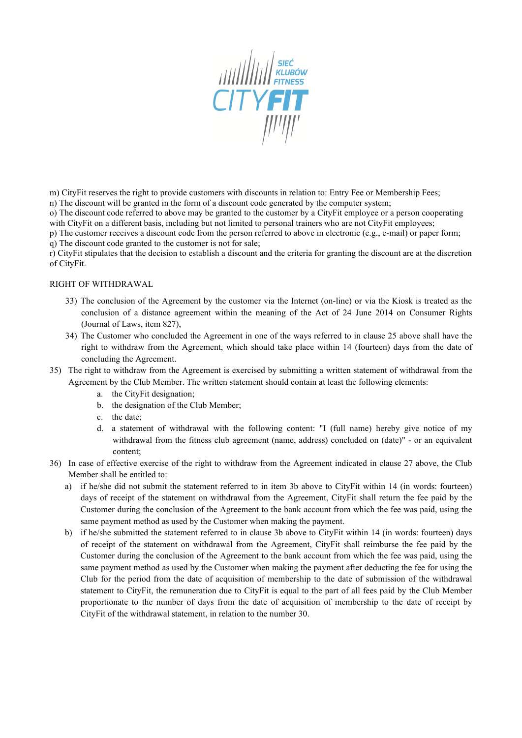

m) CityFit reserves the right to provide customers with discounts in relation to: Entry Fee or Membership Fees;

n) The discount will be granted in the form of a discount code generated by the computer system;

o) The discount code referred to above may be granted to the customer by a CityFit employee or a person cooperating with CityFit on a different basis, including but not limited to personal trainers who are not CityFit employees;

p) The customer receives a discount code from the person referred to above in electronic (e.g., e-mail) or paper form; q) The discount code granted to the customer is not for sale;

r) CityFit stipulates that the decision to establish a discount and the criteria for granting the discount are at the discretion of CityFit.

### RIGHT OF WITHDRAWAL

- 33) The conclusion of the Agreement by the customer via the Internet (on-line) or via the Kiosk is treated as the conclusion of a distance agreement within the meaning of the Act of 24 June 2014 on Consumer Rights (Journal of Laws, item 827),
- 34) The Customer who concluded the Agreement in one of the ways referred to in clause 25 above shall have the right to withdraw from the Agreement, which should take place within 14 (fourteen) days from the date of concluding the Agreement.
- 35) The right to withdraw from the Agreement is exercised by submitting a written statement of withdrawal from the Agreement by the Club Member. The written statement should contain at least the following elements:
	- a. the CityFit designation;
	- b. the designation of the Club Member;
	- c. the date;
	- d. a statement of withdrawal with the following content: "I (full name) hereby give notice of my withdrawal from the fitness club agreement (name, address) concluded on (date)" - or an equivalent content;
- 36) In case of effective exercise of the right to withdraw from the Agreement indicated in clause 27 above, the Club Member shall be entitled to:
	- a) if he/she did not submit the statement referred to in item 3b above to CityFit within 14 (in words: fourteen) days of receipt of the statement on withdrawal from the Agreement, CityFit shall return the fee paid by the Customer during the conclusion of the Agreement to the bank account from which the fee was paid, using the same payment method as used by the Customer when making the payment.
	- b) if he/she submitted the statement referred to in clause 3b above to CityFit within 14 (in words: fourteen) days of receipt of the statement on withdrawal from the Agreement, CityFit shall reimburse the fee paid by the Customer during the conclusion of the Agreement to the bank account from which the fee was paid, using the same payment method as used by the Customer when making the payment after deducting the fee for using the Club for the period from the date of acquisition of membership to the date of submission of the withdrawal statement to CityFit, the remuneration due to CityFit is equal to the part of all fees paid by the Club Member proportionate to the number of days from the date of acquisition of membership to the date of receipt by CityFit of the withdrawal statement, in relation to the number 30.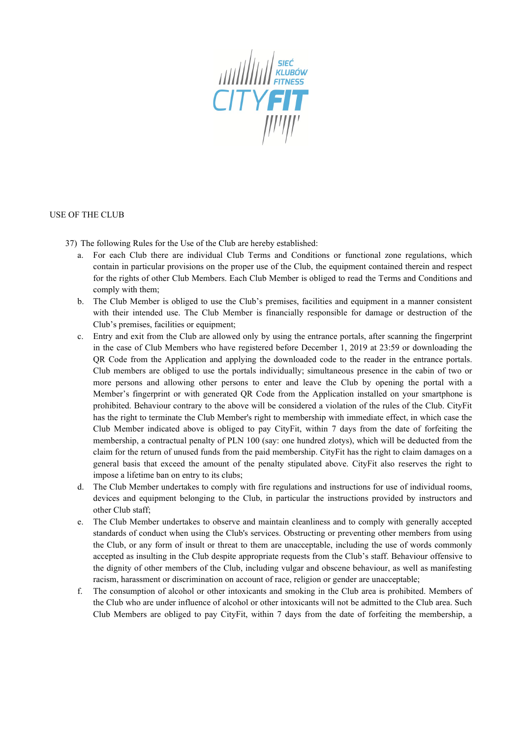

#### USE OF THE CLUB

- 37) The following Rules for the Use of the Club are hereby established:
	- a. For each Club there are individual Club Terms and Conditions or functional zone regulations, which contain in particular provisions on the proper use of the Club, the equipment contained therein and respect for the rights of other Club Members. Each Club Member is obliged to read the Terms and Conditions and comply with them;
	- b. The Club Member is obliged to use the Club's premises, facilities and equipment in a manner consistent with their intended use. The Club Member is financially responsible for damage or destruction of the Club's premises, facilities or equipment;
	- c. Entry and exit from the Club are allowed only by using the entrance portals, after scanning the fingerprint in the case of Club Members who have registered before December 1, 2019 at 23:59 or downloading the QR Code from the Application and applying the downloaded code to the reader in the entrance portals. Club members are obliged to use the portals individually; simultaneous presence in the cabin of two or more persons and allowing other persons to enter and leave the Club by opening the portal with a Member's fingerprint or with generated QR Code from the Application installed on your smartphone is prohibited. Behaviour contrary to the above will be considered a violation of the rules of the Club. CityFit has the right to terminate the Club Member's right to membership with immediate effect, in which case the Club Member indicated above is obliged to pay CityFit, within 7 days from the date of forfeiting the membership, a contractual penalty of PLN 100 (say: one hundred zlotys), which will be deducted from the claim for the return of unused funds from the paid membership. CityFit has the right to claim damages on a general basis that exceed the amount of the penalty stipulated above. CityFit also reserves the right to impose a lifetime ban on entry to its clubs;
	- d. The Club Member undertakes to comply with fire regulations and instructions for use of individual rooms, devices and equipment belonging to the Club, in particular the instructions provided by instructors and other Club staff;
	- e. The Club Member undertakes to observe and maintain cleanliness and to comply with generally accepted standards of conduct when using the Club's services. Obstructing or preventing other members from using the Club, or any form of insult or threat to them are unacceptable, including the use of words commonly accepted as insulting in the Club despite appropriate requests from the Club's staff. Behaviour offensive to the dignity of other members of the Club, including vulgar and obscene behaviour, as well as manifesting racism, harassment or discrimination on account of race, religion or gender are unacceptable;
	- f. The consumption of alcohol or other intoxicants and smoking in the Club area is prohibited. Members of the Club who are under influence of alcohol or other intoxicants will not be admitted to the Club area. Such Club Members are obliged to pay CityFit, within 7 days from the date of forfeiting the membership, a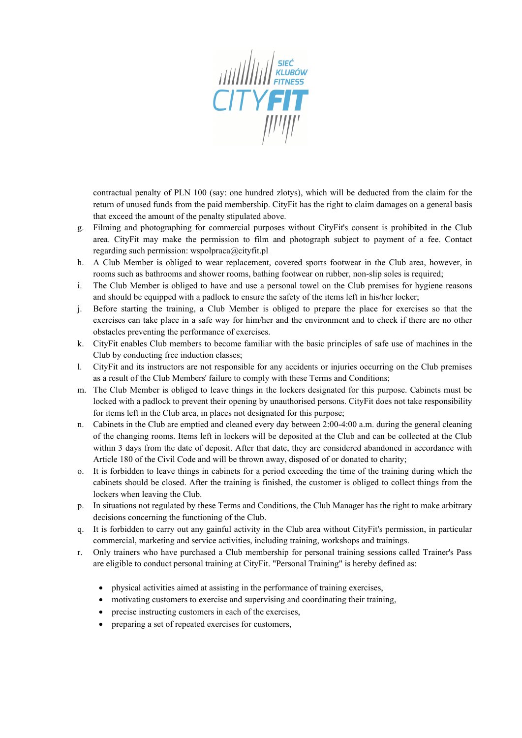

contractual penalty of PLN 100 (say: one hundred zlotys), which will be deducted from the claim for the return of unused funds from the paid membership. CityFit has the right to claim damages on a general basis that exceed the amount of the penalty stipulated above.

- g. Filming and photographing for commercial purposes without CityFit's consent is prohibited in the Club area. CityFit may make the permission to film and photograph subject to payment of a fee. Contact regarding such permission: wspolpraca@cityfit.pl
- h. A Club Member is obliged to wear replacement, covered sports footwear in the Club area, however, in rooms such as bathrooms and shower rooms, bathing footwear on rubber, non-slip soles is required;
- i. The Club Member is obliged to have and use a personal towel on the Club premises for hygiene reasons and should be equipped with a padlock to ensure the safety of the items left in his/her locker;
- j. Before starting the training, a Club Member is obliged to prepare the place for exercises so that the exercises can take place in a safe way for him/her and the environment and to check if there are no other obstacles preventing the performance of exercises.
- k. CityFit enables Club members to become familiar with the basic principles of safe use of machines in the Club by conducting free induction classes;
- l. CityFit and its instructors are not responsible for any accidents or injuries occurring on the Club premises as a result of the Club Members' failure to comply with these Terms and Conditions;
- m. The Club Member is obliged to leave things in the lockers designated for this purpose. Cabinets must be locked with a padlock to prevent their opening by unauthorised persons. CityFit does not take responsibility for items left in the Club area, in places not designated for this purpose;
- n. Cabinets in the Club are emptied and cleaned every day between 2:00-4:00 a.m. during the general cleaning of the changing rooms. Items left in lockers will be deposited at the Club and can be collected at the Club within 3 days from the date of deposit. After that date, they are considered abandoned in accordance with Article 180 of the Civil Code and will be thrown away, disposed of or donated to charity;
- o. It is forbidden to leave things in cabinets for a period exceeding the time of the training during which the cabinets should be closed. After the training is finished, the customer is obliged to collect things from the lockers when leaving the Club.
- p. In situations not regulated by these Terms and Conditions, the Club Manager has the right to make arbitrary decisions concerning the functioning of the Club.
- q. It is forbidden to carry out any gainful activity in the Club area without CityFit's permission, in particular commercial, marketing and service activities, including training, workshops and trainings.
- r. Only trainers who have purchased a Club membership for personal training sessions called Trainer's Pass are eligible to conduct personal training at CityFit. "Personal Training" is hereby defined as:
	- physical activities aimed at assisting in the performance of training exercises,
	- motivating customers to exercise and supervising and coordinating their training,
	- precise instructing customers in each of the exercises,
	- preparing a set of repeated exercises for customers,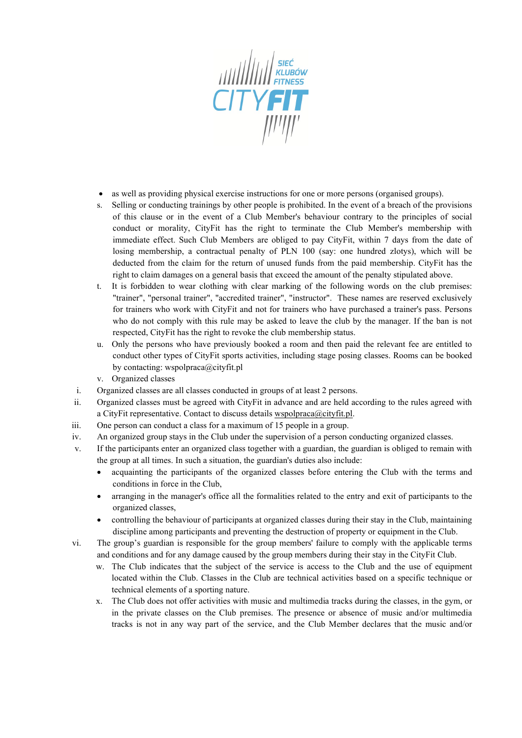

- as well as providing physical exercise instructions for one or more persons (organised groups).
- s. Selling or conducting trainings by other people is prohibited. In the event of a breach of the provisions of this clause or in the event of a Club Member's behaviour contrary to the principles of social conduct or morality, CityFit has the right to terminate the Club Member's membership with immediate effect. Such Club Members are obliged to pay CityFit, within 7 days from the date of losing membership, a contractual penalty of PLN 100 (say: one hundred zlotys), which will be deducted from the claim for the return of unused funds from the paid membership. CityFit has the right to claim damages on a general basis that exceed the amount of the penalty stipulated above.
- t. It is forbidden to wear clothing with clear marking of the following words on the club premises: "trainer", "personal trainer", "accredited trainer", "instructor". These names are reserved exclusively for trainers who work with CityFit and not for trainers who have purchased a trainer's pass. Persons who do not comply with this rule may be asked to leave the club by the manager. If the ban is not respected, CityFit has the right to revoke the club membership status.
- u. Only the persons who have previously booked a room and then paid the relevant fee are entitled to conduct other types of CityFit sports activities, including stage posing classes. Rooms can be booked by contacting: wspolpraca@cityfit.pl
- v. Organized classes
- i. Organized classes are all classes conducted in groups of at least 2 persons.
- ii. Organized classes must be agreed with CityFit in advance and are held according to the rules agreed with a CityFit representative. Contact to discuss details wspolpraca@cityfit.pl.
- iii. One person can conduct a class for a maximum of 15 people in a group.
- iv. An organized group stays in the Club under the supervision of a person conducting organized classes.
- v. If the participants enter an organized class together with a guardian, the guardian is obliged to remain with the group at all times. In such a situation, the guardian's duties also include:
	- acquainting the participants of the organized classes before entering the Club with the terms and conditions in force in the Club,
	- arranging in the manager's office all the formalities related to the entry and exit of participants to the organized classes,
	- controlling the behaviour of participants at organized classes during their stay in the Club, maintaining discipline among participants and preventing the destruction of property or equipment in the Club.
- vi. The group's guardian is responsible for the group members' failure to comply with the applicable terms and conditions and for any damage caused by the group members during their stay in the CityFit Club.
	- w. The Club indicates that the subject of the service is access to the Club and the use of equipment located within the Club. Classes in the Club are technical activities based on a specific technique or technical elements of a sporting nature.
	- x. The Club does not offer activities with music and multimedia tracks during the classes, in the gym, or in the private classes on the Club premises. The presence or absence of music and/or multimedia tracks is not in any way part of the service, and the Club Member declares that the music and/or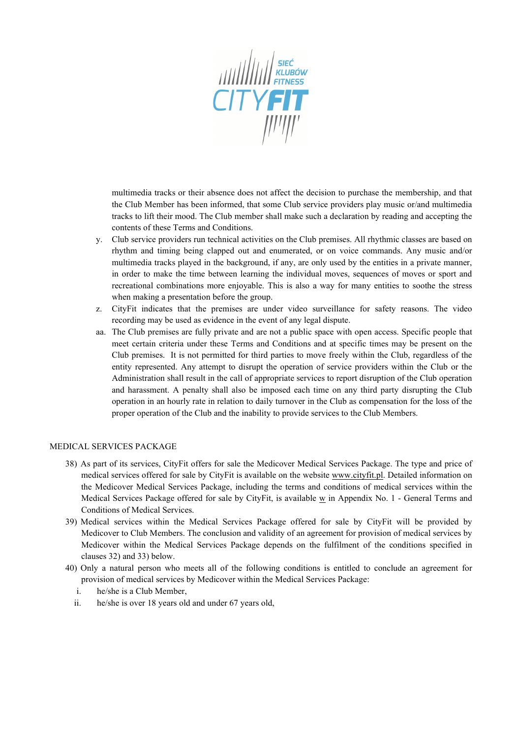

multimedia tracks or their absence does not affect the decision to purchase the membership, and that the Club Member has been informed, that some Club service providers play music or/and multimedia tracks to lift their mood. The Club member shall make such a declaration by reading and accepting the contents of these Terms and Conditions.

- y. Club service providers run technical activities on the Club premises. All rhythmic classes are based on rhythm and timing being clapped out and enumerated, or on voice commands. Any music and/or multimedia tracks played in the background, if any, are only used by the entities in a private manner, in order to make the time between learning the individual moves, sequences of moves or sport and recreational combinations more enjoyable. This is also a way for many entities to soothe the stress when making a presentation before the group.
- z. CityFit indicates that the premises are under video surveillance for safety reasons. The video recording may be used as evidence in the event of any legal dispute.
- aa. The Club premises are fully private and are not a public space with open access. Specific people that meet certain criteria under these Terms and Conditions and at specific times may be present on the Club premises. It is not permitted for third parties to move freely within the Club, regardless of the entity represented. Any attempt to disrupt the operation of service providers within the Club or the Administration shall result in the call of appropriate services to report disruption of the Club operation and harassment. A penalty shall also be imposed each time on any third party disrupting the Club operation in an hourly rate in relation to daily turnover in the Club as compensation for the loss of the proper operation of the Club and the inability to provide services to the Club Members.

#### MEDICAL SERVICES PACKAGE

- 38) As part of its services, CityFit offers for sale the Medicover Medical Services Package. The type and price of medical services offered for sale by CityFit is available on the website [www.cityfit.pl.](http://www.cityfit.pl/) Detailed information on the Medicover Medical Services Package, including the terms and conditions of medical services within the Medical Services Package offered for sale by CityFit, is available  $\underline{w}$  in Appendix No. 1 - General Terms and Conditions of Medical Services.
- 39) Medical services within the Medical Services Package offered for sale by CityFit will be provided by Medicover to Club Members. The conclusion and validity of an agreement for provision of medical services by Medicover within the Medical Services Package depends on the fulfilment of the conditions specified in clauses 32) and 33) below.
- 40) Only a natural person who meets all of the following conditions is entitled to conclude an agreement for provision of medical services by Medicover within the Medical Services Package:
	- i. he/she is a Club Member,
	- ii. he/she is over 18 years old and under 67 years old,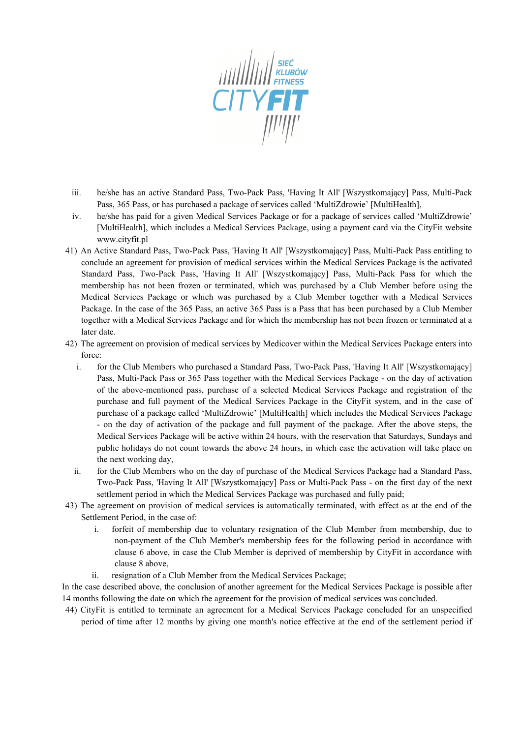

- iii. he/she has an active Standard Pass, Two-Pack Pass, 'Having It All' [Wszystkomający] Pass, Multi-Pack Pass, 365 Pass, or has purchased a package of services called 'MultiZdrowie' [MultiHealth],
- iv. he/she has paid for a given Medical Services Package or for a package of services called 'MultiZdrowie' [MultiHealth], which includes a Medical Services Package, using a payment card via the CityFit website www.cityfit.pl
- 41) An Active Standard Pass, Two-Pack Pass, 'Having It All' [Wszystkomający] Pass, Multi-Pack Pass entitling to conclude an agreement for provision of medical services within the Medical Services Package is the activated Standard Pass, Two-Pack Pass, 'Having It All' [Wszystkomający] Pass, Multi-Pack Pass for which the membership has not been frozen or terminated, which was purchased by a Club Member before using the Medical Services Package or which was purchased by a Club Member together with a Medical Services Package. In the case of the 365 Pass, an active 365 Pass is a Pass that has been purchased by a Club Member together with a Medical Services Package and for which the membership has not been frozen or terminated at a later date.
- 42) The agreement on provision of medical services by Medicover within the Medical Services Package enters into force:
	- i. for the Club Members who purchased a Standard Pass, Two-Pack Pass, 'Having It All' [Wszystkomający] Pass, Multi-Pack Pass or 365 Pass together with the Medical Services Package - on the day of activation of the above-mentioned pass, purchase of a selected Medical Services Package and registration of the purchase and full payment of the Medical Services Package in the CityFit system, and in the case of purchase of a package called 'MultiZdrowie' [MultiHealth] which includes the Medical Services Package - on the day of activation of the package and full payment of the package. After the above steps, the Medical Services Package will be active within 24 hours, with the reservation that Saturdays, Sundays and public holidays do not count towards the above 24 hours, in which case the activation will take place on the next working day,
	- ii. for the Club Members who on the day of purchase of the Medical Services Package had a Standard Pass, Two-Pack Pass, 'Having It All' [Wszystkomający] Pass or Multi-Pack Pass - on the first day of the next settlement period in which the Medical Services Package was purchased and fully paid;
- 43) The agreement on provision of medical services is automatically terminated, with effect as at the end of the Settlement Period, in the case of:
	- i. forfeit of membership due to voluntary resignation of the Club Member from membership, due to non-payment of the Club Member's membership fees for the following period in accordance with clause 6 above, in case the Club Member is deprived of membership by CityFit in accordance with clause 8 above,
	- ii. resignation of a Club Member from the Medical Services Package;

In the case described above, the conclusion of another agreement for the Medical Services Package is possible after 14 months following the date on which the agreement for the provision of medical services was concluded.

44) CityFit is entitled to terminate an agreement for a Medical Services Package concluded for an unspecified period of time after 12 months by giving one month's notice effective at the end of the settlement period if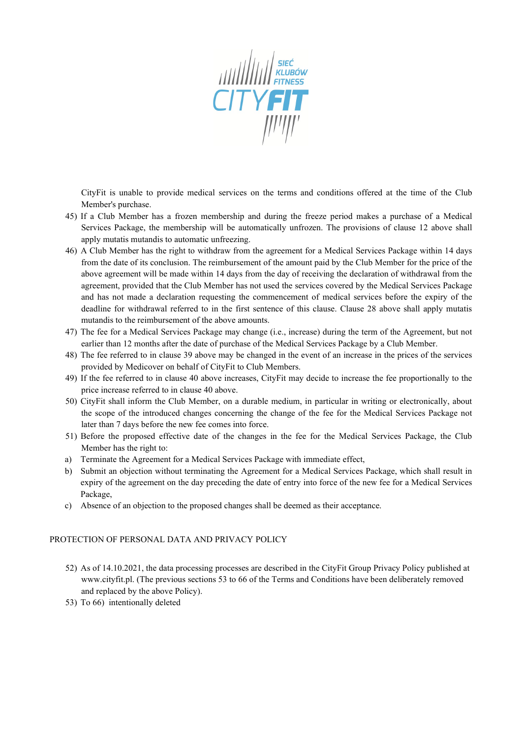

CityFit is unable to provide medical services on the terms and conditions offered at the time of the Club Member's purchase.

- 45) If a Club Member has a frozen membership and during the freeze period makes a purchase of a Medical Services Package, the membership will be automatically unfrozen. The provisions of clause 12 above shall apply mutatis mutandis to automatic unfreezing.
- 46) A Club Member has the right to withdraw from the agreement for a Medical Services Package within 14 days from the date of its conclusion. The reimbursement of the amount paid by the Club Member for the price of the above agreement will be made within 14 days from the day of receiving the declaration of withdrawal from the agreement, provided that the Club Member has not used the services covered by the Medical Services Package and has not made a declaration requesting the commencement of medical services before the expiry of the deadline for withdrawal referred to in the first sentence of this clause. Clause 28 above shall apply mutatis mutandis to the reimbursement of the above amounts.
- 47) The fee for a Medical Services Package may change (i.e., increase) during the term of the Agreement, but not earlier than 12 months after the date of purchase of the Medical Services Package by a Club Member.
- 48) The fee referred to in clause 39 above may be changed in the event of an increase in the prices of the services provided by Medicover on behalf of CityFit to Club Members.
- 49) If the fee referred to in clause 40 above increases, CityFit may decide to increase the fee proportionally to the price increase referred to in clause 40 above.
- 50) CityFit shall inform the Club Member, on a durable medium, in particular in writing or electronically, about the scope of the introduced changes concerning the change of the fee for the Medical Services Package not later than 7 days before the new fee comes into force.
- 51) Before the proposed effective date of the changes in the fee for the Medical Services Package, the Club Member has the right to:
- a) Terminate the Agreement for a Medical Services Package with immediate effect,
- b) Submit an objection without terminating the Agreement for a Medical Services Package, which shall result in expiry of the agreement on the day preceding the date of entry into force of the new fee for a Medical Services Package,
- c) Absence of an objection to the proposed changes shall be deemed as their acceptance.

#### PROTECTION OF PERSONAL DATA AND PRIVACY POLICY

- 52) As of 14.10.2021, the data processing processes are described in the CityFit Group Privacy Policy published at www.cityfit.pl. (The previous sections 53 to 66 of the Terms and Conditions have been deliberately removed and replaced by the above Policy).
- 53) To 66) intentionally deleted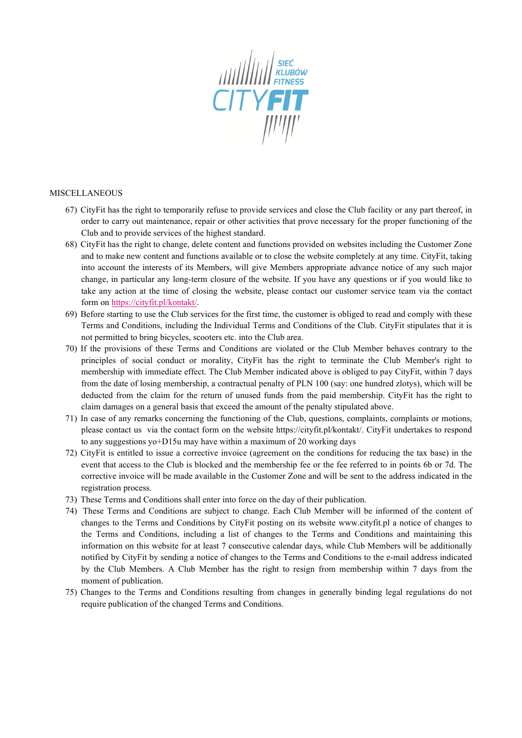

#### MISCELLANEOUS

- 67) CityFit has the right to temporarily refuse to provide services and close the Club facility or any part thereof, in order to carry out maintenance, repair or other activities that prove necessary for the proper functioning of the Club and to provide services of the highest standard.
- 68) CityFit has the right to change, delete content and functions provided on websites including the Customer Zone and to make new content and functions available or to close the website completely at any time. CityFit, taking into account the interests of its Members, will give Members appropriate advance notice of any such major change, in particular any long-term closure of the website. If you have any questions or if you would like to take any action at the time of closing the website, please contact our customer service team via the contact form on <https://cityfit.pl/kontakt/>.
- 69) Before starting to use the Club services for the first time, the customer is obliged to read and comply with these Terms and Conditions, including the Individual Terms and Conditions of the Club. CityFit stipulates that it is not permitted to bring bicycles, scooters etc. into the Club area.
- 70) If the provisions of these Terms and Conditions are violated or the Club Member behaves contrary to the principles of social conduct or morality, CityFit has the right to terminate the Club Member's right to membership with immediate effect. The Club Member indicated above is obliged to pay CityFit, within 7 days from the date of losing membership, a contractual penalty of PLN 100 (say: one hundred zlotys), which will be deducted from the claim for the return of unused funds from the paid membership. CityFit has the right to claim damages on a general basis that exceed the amount of the penalty stipulated above.
- 71) In case of any remarks concerning the functioning of the Club, questions, complaints, complaints or motions, please contact us via the contact form on the website https://cityfit.pl/kontakt/. CityFit undertakes to respond to any suggestions yo+D15u may have within a maximum of 20 working days
- 72) CityFit is entitled to issue a corrective invoice (agreement on the conditions for reducing the tax base) in the event that access to the Club is blocked and the membership fee or the fee referred to in points 6b or 7d. The corrective invoice will be made available in the Customer Zone and will be sent to the address indicated in the registration process.
- 73) These Terms and Conditions shall enter into force on the day of their publication.
- 74) These Terms and Conditions are subject to change. Each Club Member will be informed of the content of changes to the Terms and Conditions by CityFit posting on its website www.cityfit.pl a notice of changes to the Terms and Conditions, including a list of changes to the Terms and Conditions and maintaining this information on this website for at least 7 consecutive calendar days, while Club Members will be additionally notified by CityFit by sending a notice of changes to the Terms and Conditions to the e-mail address indicated by the Club Members. A Club Member has the right to resign from membership within 7 days from the moment of publication.
- 75) Changes to the Terms and Conditions resulting from changes in generally binding legal regulations do not require publication of the changed Terms and Conditions.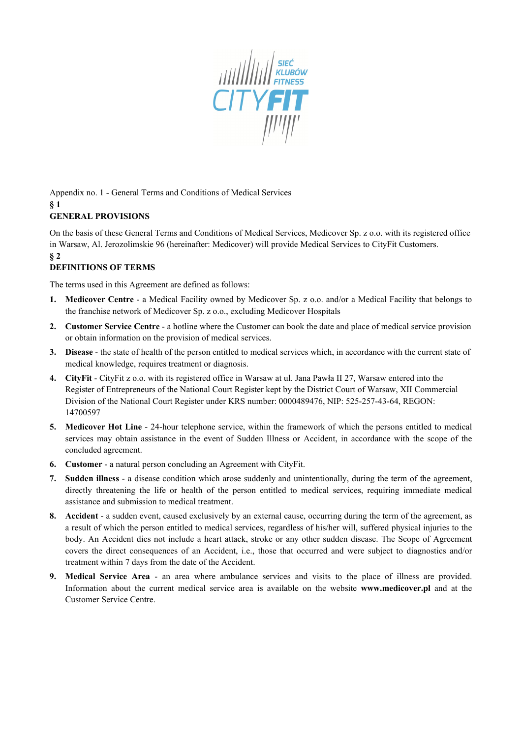

Appendix no. 1 - General Terms and Conditions of Medical Services **§ 1**

# **GENERAL PROVISIONS**

On the basis of these General Terms and Conditions of Medical Services, Medicover Sp. z o.o. with its registered office in Warsaw, Al. Jerozolimskie 96 (hereinafter: Medicover) will provide Medical Services to CityFit Customers. **§ 2**

### **DEFINITIONS OF TERMS**

The terms used in this Agreement are defined as follows:

- **1. Medicover Centre**  a Medical Facility owned by Medicover Sp. z o.o. and/or a Medical Facility that belongs to the franchise network of Medicover Sp. z o.o., excluding Medicover Hospitals
- **2. Customer Service Centre** a hotline where the Customer can book the date and place of medical service provision or obtain information on the provision of medical services.
- **3. Disease** the state of health of the person entitled to medical services which, in accordance with the current state of medical knowledge, requires treatment or diagnosis.
- **4. CityFit** CityFit z o.o. with its registered office in Warsaw at ul. Jana Pawła II 27, Warsaw entered into the Register of Entrepreneurs of the National Court Register kept by the District Court of Warsaw, XII Commercial Division of the National Court Register under KRS number: 0000489476, NIP: 525-257-43-64, REGON: 14700597
- **5. Medicover Hot Line**  24-hour telephone service, within the framework of which the persons entitled to medical services may obtain assistance in the event of Sudden Illness or Accident, in accordance with the scope of the concluded agreement.
- **6. Customer** a natural person concluding an Agreement with CityFit.
- **7. Sudden illness** a disease condition which arose suddenly and unintentionally, during the term of the agreement, directly threatening the life or health of the person entitled to medical services, requiring immediate medical assistance and submission to medical treatment.
- **8. Accident** a sudden event, caused exclusively by an external cause, occurring during the term of the agreement, as a result of which the person entitled to medical services, regardless of his/her will, suffered physical injuries to the body. An Accident dies not include a heart attack, stroke or any other sudden disease. The Scope of Agreement covers the direct consequences of an Accident, i.e., those that occurred and were subject to diagnostics and/or treatment within 7 days from the date of the Accident.
- **9. Medical Service Area** an area where ambulance services and visits to the place of illness are provided. Information about the current medical service area is available on the website **www.medicover.pl** and at the Customer Service Centre.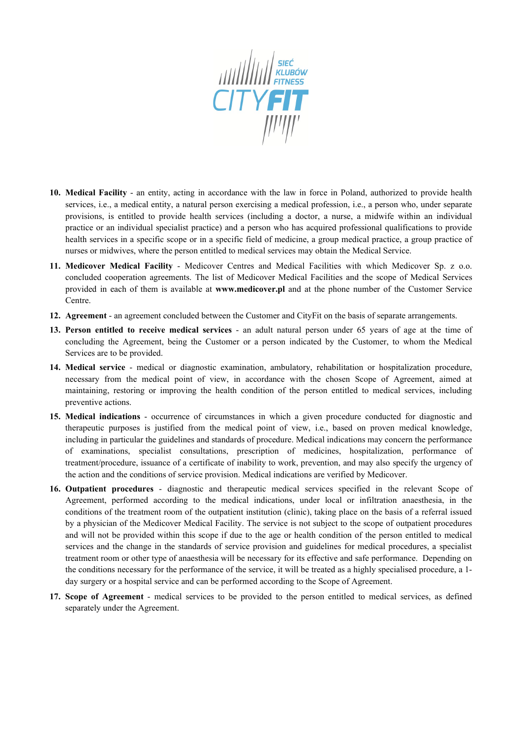

- **10. Medical Facility** an entity, acting in accordance with the law in force in Poland, authorized to provide health services, i.e., a medical entity, a natural person exercising a medical profession, i.e., a person who, under separate provisions, is entitled to provide health services (including a doctor, a nurse, a midwife within an individual practice or an individual specialist practice) and a person who has acquired professional qualifications to provide health services in a specific scope or in a specific field of medicine, a group medical practice, a group practice of nurses or midwives, where the person entitled to medical services may obtain the Medical Service.
- **11. Medicover Medical Facility** Medicover Centres and Medical Facilities with which Medicover Sp. z o.o. concluded cooperation agreements. The list of Medicover Medical Facilities and the scope of Medical Services provided in each of them is available at **www.medicover.pl** and at the phone number of the Customer Service Centre.
- **12. Agreement** an agreement concluded between the Customer and CityFit on the basis of separate arrangements.
- **13. Person entitled to receive medical services** an adult natural person under 65 years of age at the time of concluding the Agreement, being the Customer or a person indicated by the Customer, to whom the Medical Services are to be provided.
- **14. Medical service** medical or diagnostic examination, ambulatory, rehabilitation or hospitalization procedure, necessary from the medical point of view, in accordance with the chosen Scope of Agreement, aimed at maintaining, restoring or improving the health condition of the person entitled to medical services, including preventive actions.
- **15. Medical indications** occurrence of circumstances in which a given procedure conducted for diagnostic and therapeutic purposes is justified from the medical point of view, i.e., based on proven medical knowledge, including in particular the guidelines and standards of procedure. Medical indications may concern the performance of examinations, specialist consultations, prescription of medicines, hospitalization, performance of treatment/procedure, issuance of a certificate of inability to work, prevention, and may also specify the urgency of the action and the conditions of service provision. Medical indications are verified by Medicover.
- **16. Outpatient procedures** diagnostic and therapeutic medical services specified in the relevant Scope of Agreement, performed according to the medical indications, under local or infiltration anaesthesia, in the conditions of the treatment room of the outpatient institution (clinic), taking place on the basis of a referral issued by a physician of the Medicover Medical Facility. The service is not subject to the scope of outpatient procedures and will not be provided within this scope if due to the age or health condition of the person entitled to medical services and the change in the standards of service provision and guidelines for medical procedures, a specialist treatment room or other type of anaesthesia will be necessary for its effective and safe performance. Depending on the conditions necessary for the performance of the service, it will be treated as a highly specialised procedure, a 1 day surgery or a hospital service and can be performed according to the Scope of Agreement.
- **17. Scope of Agreement** medical services to be provided to the person entitled to medical services, as defined separately under the Agreement.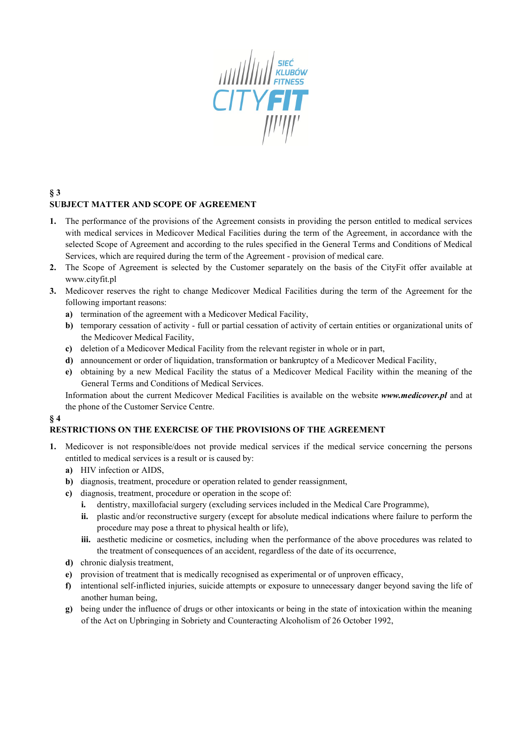

## **§ 3 SUBJECT MATTER AND SCOPE OF AGREEMENT**

- **1.** The performance of the provisions of the Agreement consists in providing the person entitled to medical services with medical services in Medicover Medical Facilities during the term of the Agreement, in accordance with the selected Scope of Agreement and according to the rules specified in the General Terms and Conditions of Medical Services, which are required during the term of the Agreement - provision of medical care.
- **2.** The Scope of Agreement is selected by the Customer separately on the basis of the CityFit offer available at www.cityfit.pl
- **3.** Medicover reserves the right to change Medicover Medical Facilities during the term of the Agreement for the following important reasons:
	- **a)** termination of the agreement with a Medicover Medical Facility,
	- **b**) temporary cessation of activity full or partial cessation of activity of certain entities or organizational units of the Medicover Medical Facility,
	- **c)** deletion of a Medicover Medical Facility from the relevant register in whole or in part,
	- **d)** announcement or order of liquidation, transformation or bankruptcy of a Medicover Medical Facility,
	- **e)** obtaining by a new Medical Facility the status of a Medicover Medical Facility within the meaning of the General Terms and Conditions of Medical Services.

Information about the current Medicover Medical Facilities is available on the website *www.medicover.pl* and at the phone of the Customer Service Centre.

### **§ 4**

### **RESTRICTIONS ON THE EXERCISE OF THE PROVISIONS OF THE AGREEMENT**

- **1.** Medicover is not responsible/does not provide medical services if the medical service concerning the persons entitled to medical services is a result or is caused by:
	- **a)** HIV infection or AIDS,
	- **b**) diagnosis, treatment, procedure or operation related to gender reassignment,
	- **c)** diagnosis, treatment, procedure or operation in the scope of:
		- **i.** dentistry, maxillofacial surgery (excluding services included in the Medical Care Programme),
		- **ii.** plastic and/or reconstructive surgery (except for absolute medical indications where failure to perform the procedure may pose a threat to physical health or life),
		- **iii.** aesthetic medicine or cosmetics, including when the performance of the above procedures was related to the treatment of consequences of an accident, regardless of the date of its occurrence,
	- **d)** chronic dialysis treatment,
	- **e)** provision of treatment that is medically recognised as experimental or of unproven efficacy,
	- **f)** intentional self-inflicted injuries, suicide attempts or exposure to unnecessary danger beyond saving the life of another human being,
	- **g)** being under the influence of drugs or other intoxicants or being in the state of intoxication within the meaning of the Act on Upbringing in Sobriety and Counteracting Alcoholism of 26 October 1992,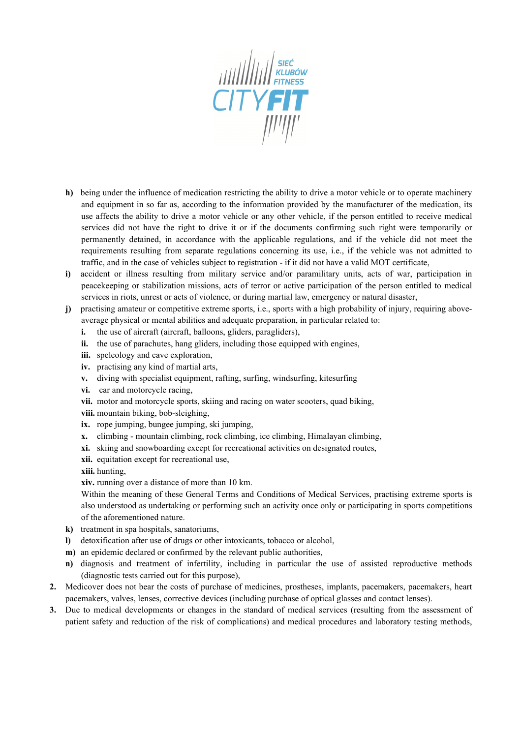

- **h)** being under the influence of medication restricting the ability to drive a motor vehicle or to operate machinery and equipment in so far as, according to the information provided by the manufacturer of the medication, its use affects the ability to drive a motor vehicle or any other vehicle, if the person entitled to receive medical services did not have the right to drive it or if the documents confirming such right were temporarily or permanently detained, in accordance with the applicable regulations, and if the vehicle did not meet the requirements resulting from separate regulations concerning its use, i.e., if the vehicle was not admitted to traffic, and in the case of vehicles subject to registration - if it did not have a valid MOT certificate,
- **i)** accident or illness resulting from military service and/or paramilitary units, acts of war, participation in peacekeeping or stabilization missions, acts of terror or active participation of the person entitled to medical services in riots, unrest or acts of violence, or during martial law, emergency or natural disaster,
- **j)** practising amateur or competitive extreme sports, i.e., sports with a high probability of injury, requiring aboveaverage physical or mental abilities and adequate preparation, in particular related to:
	- **i.** the use of aircraft (aircraft, balloons, gliders, paragliders).
	- **ii.** the use of parachutes, hang gliders, including those equipped with engines,
	- **iii.** speleology and cave exploration,
	- **iv.** practising any kind of martial arts,
	- **v.** diving with specialist equipment, rafting, surfing, windsurfing, kitesurfing
	- **vi.** car and motorcycle racing,
	- **vii.** motor and motorcycle sports, skiing and racing on water scooters, quad biking,
	- **viii.** mountain biking, bob-sleighing,
	- **ix.** rope jumping, bungee jumping, ski jumping,
	- **x.** climbing mountain climbing, rock climbing, ice climbing, Himalayan climbing,
	- **xi.** skiing and snowboarding except for recreational activities on designated routes,
	- **xii.** equitation except for recreational use,
	- **xiii.** hunting,
	- **xiv.** running over a distance of more than 10 km.

Within the meaning of these General Terms and Conditions of Medical Services, practising extreme sports is also understood as undertaking or performing such an activity once only or participating in sports competitions of the aforementioned nature.

- **k)** treatment in spa hospitals, sanatoriums,
- **l)** detoxification after use of drugs or other intoxicants, tobacco or alcohol,
- **m)** an epidemic declared or confirmed by the relevant public authorities,
- **n)** diagnosis and treatment of infertility, including in particular the use of assisted reproductive methods (diagnostic tests carried out for this purpose),
- **2.** Medicover does not bear the costs of purchase of medicines, prostheses, implants, pacemakers, pacemakers, heart pacemakers, valves, lenses, corrective devices (including purchase of optical glasses and contact lenses).
- **3.** Due to medical developments or changes in the standard of medical services (resulting from the assessment of patient safety and reduction of the risk of complications) and medical procedures and laboratory testing methods,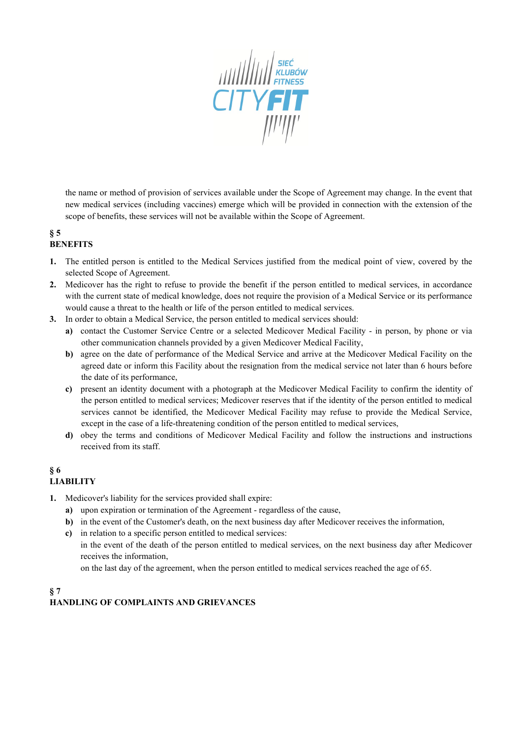

the name or method of provision of services available under the Scope of Agreement may change. In the event that new medical services (including vaccines) emerge which will be provided in connection with the extension of the scope of benefits, these services will not be available within the Scope of Agreement.

#### **§ 5 BENEFITS**

- **1.** The entitled person is entitled to the Medical Services justified from the medical point of view, covered by the selected Scope of Agreement.
- **2.** Medicover has the right to refuse to provide the benefit if the person entitled to medical services, in accordance with the current state of medical knowledge, does not require the provision of a Medical Service or its performance would cause a threat to the health or life of the person entitled to medical services.
- **3.** In order to obtain a Medical Service, the person entitled to medical services should:
	- **a)** contact the Customer Service Centre or a selected Medicover Medical Facility in person, by phone or via other communication channels provided by a given Medicover Medical Facility,
	- **b)** agree on the date of performance of the Medical Service and arrive at the Medicover Medical Facility on the agreed date or inform this Facility about the resignation from the medical service not later than 6 hours before the date of its performance,
	- **c)** present an identity document with a photograph at the Medicover Medical Facility to confirm the identity of the person entitled to medical services; Medicover reserves that if the identity of the person entitled to medical services cannot be identified, the Medicover Medical Facility may refuse to provide the Medical Service, except in the case of a life-threatening condition of the person entitled to medical services,
	- **d)** obey the terms and conditions of Medicover Medical Facility and follow the instructions and instructions received from its staff.

# **§ 6 LIABILITY**

- **1.** Medicover's liability for the services provided shall expire:
	- **a)** upon expiration or termination of the Agreement regardless of the cause,
	- **b**) in the event of the Customer's death, on the next business day after Medicover receives the information,
	- **c)** in relation to a specific person entitled to medical services: in the event of the death of the person entitled to medical services, on the next business day after Medicover receives the information, on the last day of the agreement, when the person entitled to medical services reached the age of 65.

### **§ 7 HANDLING OF COMPLAINTS AND GRIEVANCES**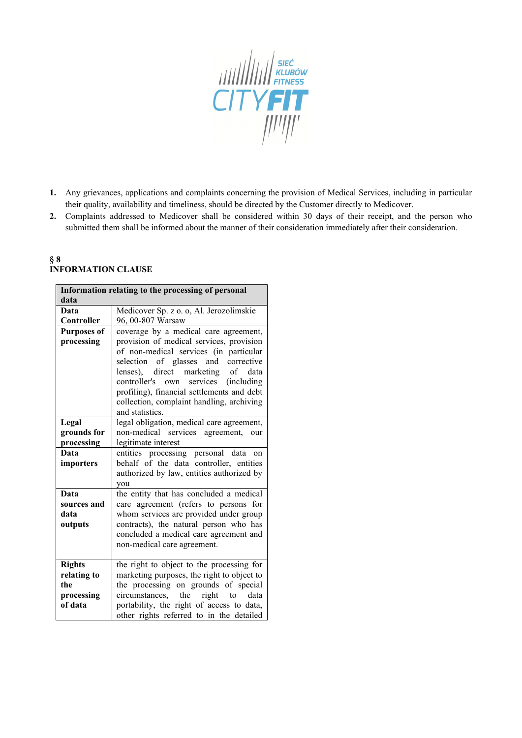

- **1.** Any grievances, applications and complaints concerning the provision of Medical Services, including in particular their quality, availability and timeliness, should be directed by the Customer directly to Medicover.
- **2.** Complaints addressed to Medicover shall be considered within 30 days of their receipt, and the person who submitted them shall be informed about the manner of their consideration immediately after their consideration.

### **§ 8 INFORMATION CLAUSE**

| Information relating to the processing of personal |                                            |
|----------------------------------------------------|--------------------------------------------|
| data                                               |                                            |
| Data                                               | Medicover Sp. z o. o, Al. Jerozolimskie    |
| Controller                                         | 96, 00-807 Warsaw                          |
| <b>Purposes of</b>                                 | coverage by a medical care agreement,      |
| processing                                         | provision of medical services, provision   |
|                                                    | of non-medical services (in particular     |
|                                                    | selection of glasses and corrective        |
|                                                    | lenses), direct marketing of data          |
|                                                    | controller's own<br>services (including    |
|                                                    | profiling), financial settlements and debt |
|                                                    | collection, complaint handling, archiving  |
|                                                    | and statistics.                            |
| Legal                                              | legal obligation, medical care agreement,  |
| grounds for                                        | non-medical services agreement, our        |
| processing                                         | legitimate interest                        |
| Data                                               | entities processing personal data on       |
| importers                                          | behalf of the data controller, entities    |
|                                                    | authorized by law, entities authorized by  |
|                                                    | you                                        |
| Data                                               | the entity that has concluded a medical    |
| sources and                                        | care agreement (refers to persons for      |
| data                                               | whom services are provided under group     |
| outputs                                            | contracts), the natural person who has     |
|                                                    | concluded a medical care agreement and     |
|                                                    | non-medical care agreement.                |
|                                                    |                                            |
| <b>Rights</b>                                      | the right to object to the processing for  |
| relating to                                        | marketing purposes, the right to object to |
| the                                                | the processing on grounds of special       |
| processing                                         | circumstances, the right to data           |
| of data                                            | portability, the right of access to data,  |
|                                                    | other rights referred to in the detailed   |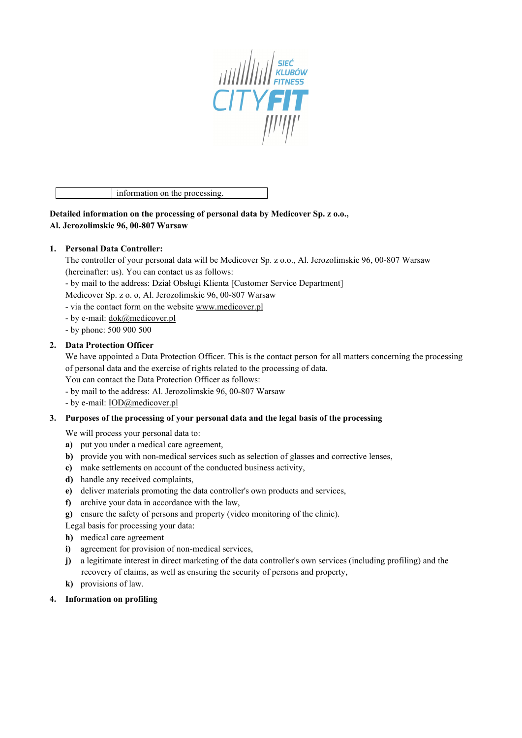

information on the processing.

**Detailed information on the processing of personal data by Medicover Sp. z o.o., Al. Jerozolimskie 96, 00-807 Warsaw**

### **1. Personal Data Controller:**

The controller of your personal data will be Medicover Sp. z o.o., Al. Jerozolimskie 96, 00-807 Warsaw (hereinafter: us). You can contact us as follows:

- by mail to the address: Dział Obsługi Klienta [Customer Service Department]

Medicover Sp. z o. o, Al. Jerozolimskie 96, 00-807 Warsaw

- via the contact form on the website [www.medicover.pl](http://www.medicover.pl/)
- by e-mail: dok@medicover.pl
- by phone: 500 900 500

#### **2. Data Protection Officer**

We have appointed a Data Protection Officer. This is the contact person for all matters concerning the processing of personal data and the exercise of rights related to the processing of data.

You can contact the Data Protection Officer as follows:

- by mail to the address: Al. Jerozolimskie 96, 00-807 Warsaw
- by e-mail: IOD@medicover.pl

#### **3. Purposes of the processing of your personal data and the legal basis of the processing**

We will process your personal data to:

- **a)** put you under a medical care agreement,
- **b**) provide you with non-medical services such as selection of glasses and corrective lenses,
- **c)** make settlements on account of the conducted business activity,
- **d)** handle any received complaints,
- **e)** deliver materials promoting the data controller's own products and services,
- **f)** archive your data in accordance with the law,
- **g)** ensure the safety of persons and property (video monitoring of the clinic).

Legal basis for processing your data:

- **h)** medical care agreement
- **i)** agreement for provision of non-medical services,
- **j)** a legitimate interest in direct marketing of the data controller's own services (including profiling) and the recovery of claims, as well as ensuring the security of persons and property,
- **k)** provisions of law.
- **4. Information on profiling**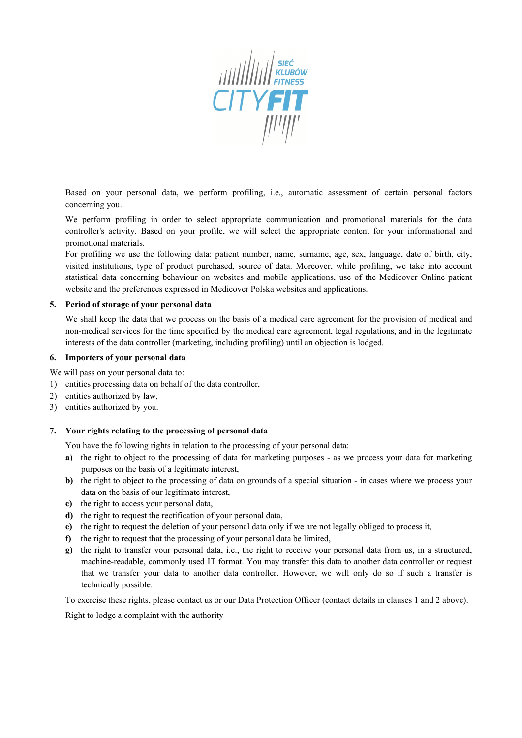

Based on your personal data, we perform profiling, i.e., automatic assessment of certain personal factors concerning you.

We perform profiling in order to select appropriate communication and promotional materials for the data controller's activity. Based on your profile, we will select the appropriate content for your informational and promotional materials.

For profiling we use the following data: patient number, name, surname, age, sex, language, date of birth, city, visited institutions, type of product purchased, source of data. Moreover, while profiling, we take into account statistical data concerning behaviour on websites and mobile applications, use of the Medicover Online patient website and the preferences expressed in Medicover Polska websites and applications.

#### **5. Period of storage of your personal data**

We shall keep the data that we process on the basis of a medical care agreement for the provision of medical and non-medical services for the time specified by the medical care agreement, legal regulations, and in the legitimate interests of the data controller (marketing, including profiling) until an objection is lodged.

#### **6. Importers of your personal data**

We will pass on your personal data to:

- 1) entities processing data on behalf of the data controller,
- 2) entities authorized by law,
- 3) entities authorized by you.

#### **7. Your rights relating to the processing of personal data**

You have the following rights in relation to the processing of your personal data:

- **a**) the right to object to the processing of data for marketing purposes as we process your data for marketing purposes on the basis of a legitimate interest,
- **b)** the right to object to the processing of data on grounds of a special situation in cases where we process your data on the basis of our legitimate interest,
- **c)** the right to access your personal data,
- **d)** the right to request the rectification of your personal data,
- **e)** the right to request the deletion of your personal data only if we are not legally obliged to process it,
- **f)** the right to request that the processing of your personal data be limited,
- **g)** the right to transfer your personal data, i.e., the right to receive your personal data from us, in a structured, machine-readable, commonly used IT format. You may transfer this data to another data controller or request that we transfer your data to another data controller. However, we will only do so if such a transfer is technically possible.

To exercise these rights, please contact us or our Data Protection Officer (contact details in clauses 1 and 2 above).

#### Right to lodge a complaint with the authority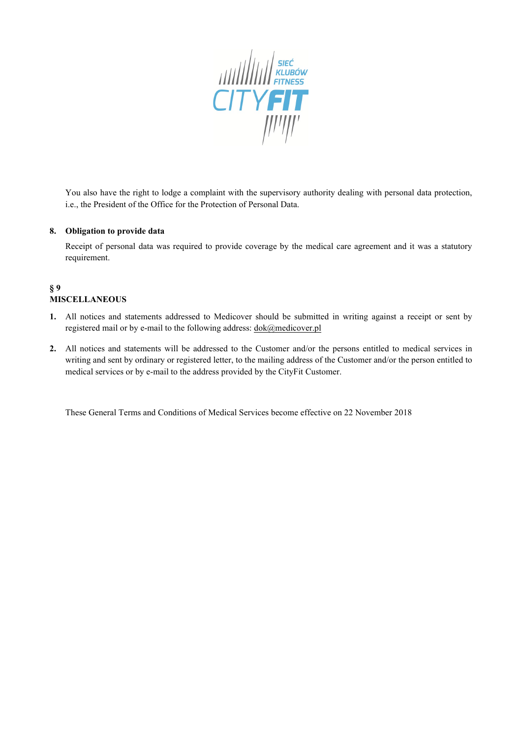

You also have the right to lodge a complaint with the supervisory authority dealing with personal data protection, i.e., the President of the Office for the Protection of Personal Data.

#### **8. Obligation to provide data**

Receipt of personal data was required to provide coverage by the medical care agreement and it was a statutory requirement.

# **§ 9 MISCELLANEOUS**

- **1.** All notices and statements addressed to Medicover should be submitted in writing against a receipt or sent by registered mail or by e-mail to the following address:  $d$ ok@medicover.pl
- **2.** All notices and statements will be addressed to the Customer and/or the persons entitled to medical services in writing and sent by ordinary or registered letter, to the mailing address of the Customer and/or the person entitled to medical services or by e-mail to the address provided by the CityFit Customer.

These General Terms and Conditions of Medical Services become effective on 22 November 2018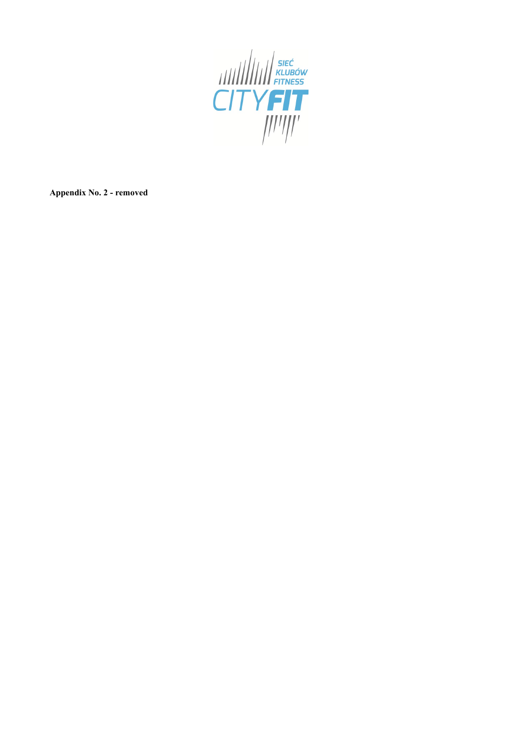

**Appendix No. 2 - removed**